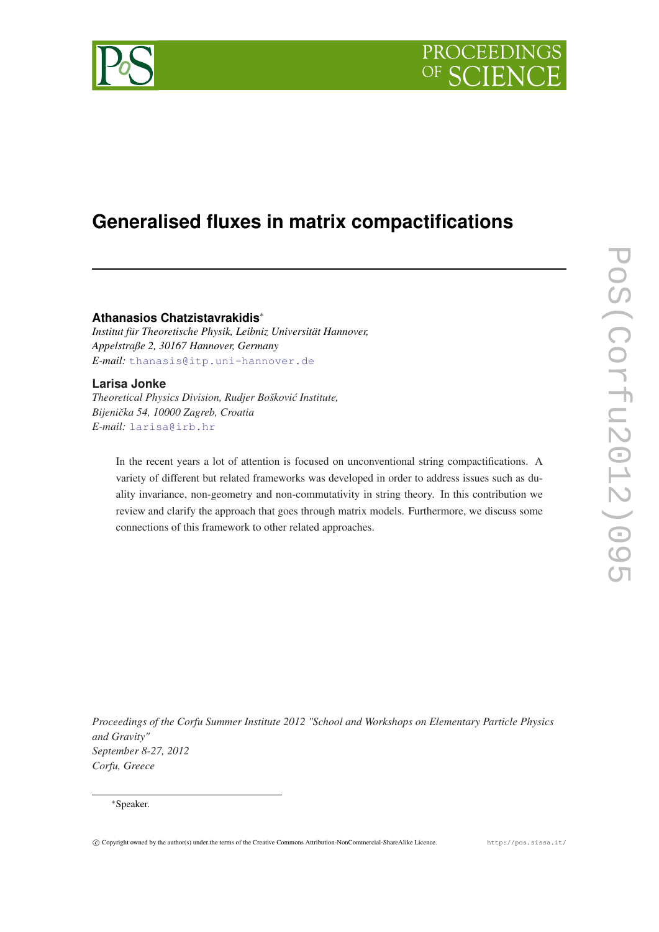



# **Generalised fluxes in matrix compactifications**

# **Athanasios Chatzistavrakidis**<sup>∗</sup>

*Institut für Theoretische Physik, Leibniz Universität Hannover, Appelstraße 2, 30167 Hannover, Germany E-mail:* [thanasis@itp.uni-hannover.de](mailto:thanasis@itp.uni-hannover.de)

## **Larisa Jonke**

*Theoretical Physics Division, Rudjer Boškovi´c Institute, Bijeniˇcka 54, 10000 Zagreb, Croatia E-mail:* [larisa@irb.hr](mailto:larisa@irb.hr)

In the recent years a lot of attention is focused on unconventional string compactifications. A variety of different but related frameworks was developed in order to address issues such as duality invariance, non-geometry and non-commutativity in string theory. In this contribution we review and clarify the approach that goes through matrix models. Furthermore, we discuss some connections of this framework to other related approaches.

*Proceedings of the Corfu Summer Institute 2012 "School and Workshops on Elementary Particle Physics and Gravity" September 8-27, 2012 Corfu, Greece*

## <sup>∗</sup>Speaker.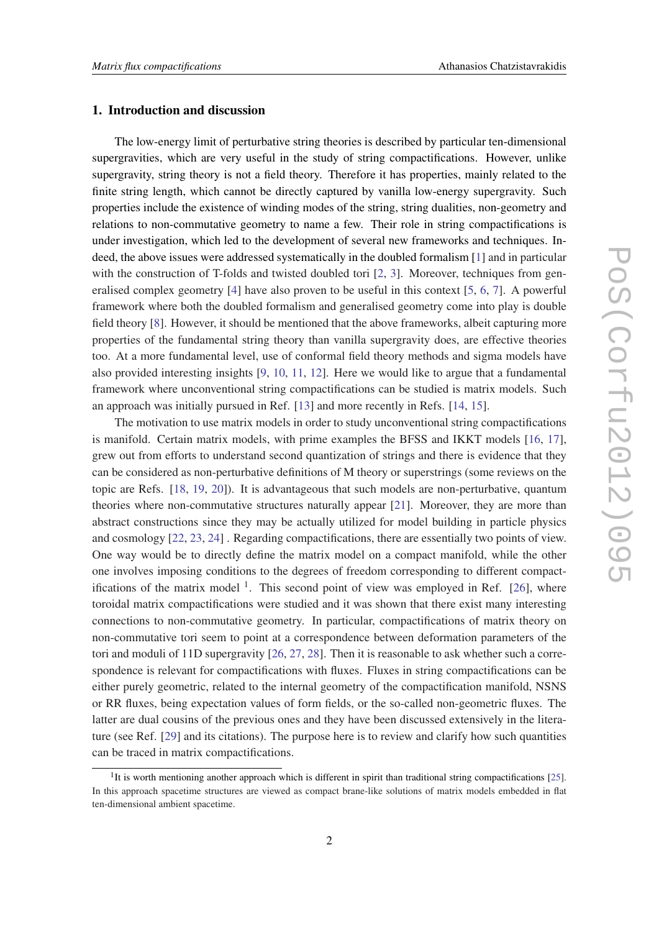## 1. Introduction and discussion

The low-energy limit of perturbative string theories is described by particular ten-dimensional supergravities, which are very useful in the study of string compactifications. However, unlike supergravity, string theory is not a field theory. Therefore it has properties, mainly related to the finite string length, which cannot be directly captured by vanilla low-energy supergravity. Such properties include the existence of winding modes of the string, string dualities, non-geometry and relations to non-commutative geometry to name a few. Their role in string compactifications is under investigation, which led to the development of several new frameworks and techniques. Indeed, the above issues were addressed systematically in the doubled formalism [[1](#page-13-0)] and in particular with the construction of T-folds and twisted doubled tori [\[2,](#page-13-0) [3](#page-13-0)]. Moreover, techniques from generalised complex geometry [[4](#page-13-0)] have also proven to be useful in this context [[5](#page-13-0), [6](#page-13-0), [7\]](#page-13-0). A powerful framework where both the doubled formalism and generalised geometry come into play is double field theory [\[8\]](#page-13-0). However, it should be mentioned that the above frameworks, albeit capturing more properties of the fundamental string theory than vanilla supergravity does, are effective theories too. At a more fundamental level, use of conformal field theory methods and sigma models have also provided interesting insights [\[9,](#page-13-0) [10,](#page-13-0) [11](#page-13-0), [12](#page-13-0)]. Here we would like to argue that a fundamental framework where unconventional string compactifications can be studied is matrix models. Such an approach was initially pursued in Ref. [\[13](#page-13-0)] and more recently in Refs. [\[14,](#page-13-0) [15](#page-13-0)].

The motivation to use matrix models in order to study unconventional string compactifications is manifold. Certain matrix models, with prime examples the BFSS and IKKT models [[16](#page-13-0), [17\]](#page-13-0), grew out from efforts to understand second quantization of strings and there is evidence that they can be considered as non-perturbative definitions of M theory or superstrings (some reviews on the topic are Refs. [[18,](#page-13-0) [19,](#page-13-0) [20\]](#page-13-0)). It is advantageous that such models are non-perturbative, quantum theories where non-commutative structures naturally appear [\[21](#page-13-0)]. Moreover, they are more than abstract constructions since they may be actually utilized for model building in particle physics and cosmology [[22](#page-13-0), [23,](#page-13-0) [24\]](#page-13-0) . Regarding compactifications, there are essentially two points of view. One way would be to directly define the matrix model on a compact manifold, while the other one involves imposing conditions to the degrees of freedom corresponding to different compactifications of the matrix model  $1$ . This second point of view was employed in Ref. [[26\]](#page-14-0), where toroidal matrix compactifications were studied and it was shown that there exist many interesting connections to non-commutative geometry. In particular, compactifications of matrix theory on non-commutative tori seem to point at a correspondence between deformation parameters of the tori and moduli of 11D supergravity [[26](#page-14-0), [27,](#page-14-0) [28\]](#page-14-0). Then it is reasonable to ask whether such a correspondence is relevant for compactifications with fluxes. Fluxes in string compactifications can be either purely geometric, related to the internal geometry of the compactification manifold, NSNS or RR fluxes, being expectation values of form fields, or the so-called non-geometric fluxes. The latter are dual cousins of the previous ones and they have been discussed extensively in the literature (see Ref. [[29\]](#page-14-0) and its citations). The purpose here is to review and clarify how such quantities can be traced in matrix compactifications.

<sup>&</sup>lt;sup>1</sup>It is worth mentioning another approach which is different in spirit than traditional string compactifications [[25\]](#page-14-0). In this approach spacetime structures are viewed as compact brane-like solutions of matrix models embedded in flat ten-dimensional ambient spacetime.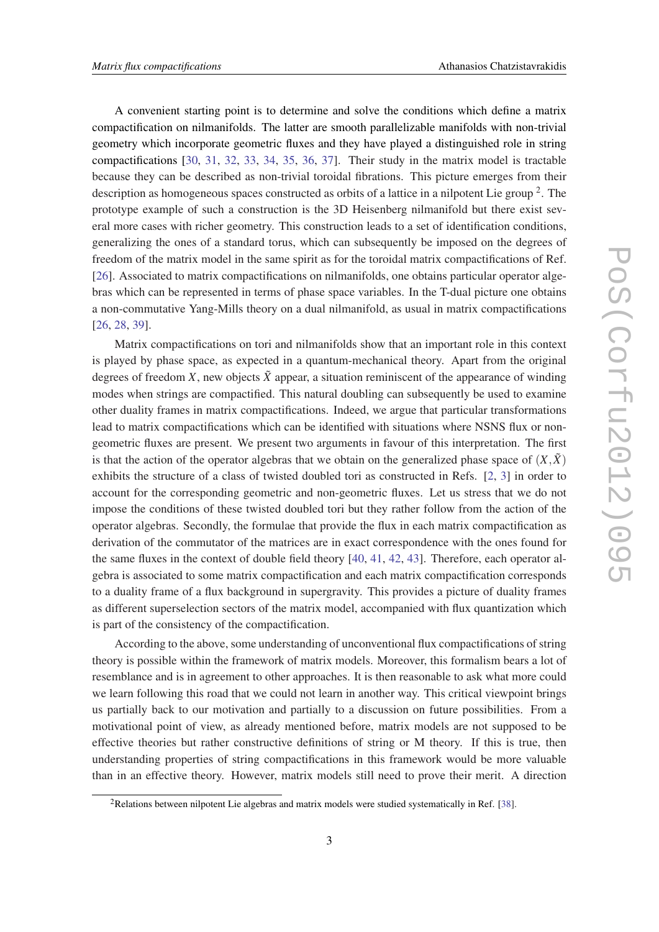A convenient starting point is to determine and solve the conditions which define a matrix compactification on nilmanifolds. The latter are smooth parallelizable manifolds with non-trivial geometry which incorporate geometric fluxes and they have played a distinguished role in string compactifications [[30,](#page-14-0) [31](#page-14-0), [32,](#page-14-0) [33](#page-14-0), [34,](#page-14-0) [35](#page-14-0), [36](#page-14-0), [37\]](#page-14-0). Their study in the matrix model is tractable because they can be described as non-trivial toroidal fibrations. This picture emerges from their description as homogeneous spaces constructed as orbits of a lattice in a nilpotent Lie group<sup>2</sup>. The prototype example of such a construction is the 3D Heisenberg nilmanifold but there exist several more cases with richer geometry. This construction leads to a set of identification conditions, generalizing the ones of a standard torus, which can subsequently be imposed on the degrees of freedom of the matrix model in the same spirit as for the toroidal matrix compactifications of Ref. [[26\]](#page-14-0). Associated to matrix compactifications on nilmanifolds, one obtains particular operator algebras which can be represented in terms of phase space variables. In the T-dual picture one obtains a non-commutative Yang-Mills theory on a dual nilmanifold, as usual in matrix compactifications [[26,](#page-14-0) [28](#page-14-0), [39\]](#page-14-0).

Matrix compactifications on tori and nilmanifolds show that an important role in this context is played by phase space, as expected in a quantum-mechanical theory. Apart from the original degrees of freedom *X*, new objects  $\tilde{X}$  appear, a situation reminiscent of the appearance of winding modes when strings are compactified. This natural doubling can subsequently be used to examine other duality frames in matrix compactifications. Indeed, we argue that particular transformations lead to matrix compactifications which can be identified with situations where NSNS flux or nongeometric fluxes are present. We present two arguments in favour of this interpretation. The first is that the action of the operator algebras that we obtain on the generalized phase space of  $(X,\tilde{X})$ exhibits the structure of a class of twisted doubled tori as constructed in Refs. [[2](#page-13-0), [3\]](#page-13-0) in order to account for the corresponding geometric and non-geometric fluxes. Let us stress that we do not impose the conditions of these twisted doubled tori but they rather follow from the action of the operator algebras. Secondly, the formulae that provide the flux in each matrix compactification as derivation of the commutator of the matrices are in exact correspondence with the ones found for the same fluxes in the context of double field theory [\[40](#page-14-0), [41,](#page-14-0) [42](#page-14-0), [43\]](#page-14-0). Therefore, each operator algebra is associated to some matrix compactification and each matrix compactification corresponds to a duality frame of a flux background in supergravity. This provides a picture of duality frames as different superselection sectors of the matrix model, accompanied with flux quantization which is part of the consistency of the compactification.

According to the above, some understanding of unconventional flux compactifications of string theory is possible within the framework of matrix models. Moreover, this formalism bears a lot of resemblance and is in agreement to other approaches. It is then reasonable to ask what more could we learn following this road that we could not learn in another way. This critical viewpoint brings us partially back to our motivation and partially to a discussion on future possibilities. From a motivational point of view, as already mentioned before, matrix models are not supposed to be effective theories but rather constructive definitions of string or M theory. If this is true, then understanding properties of string compactifications in this framework would be more valuable than in an effective theory. However, matrix models still need to prove their merit. A direction

<sup>2</sup>Relations between nilpotent Lie algebras and matrix models were studied systematically in Ref. [[38\]](#page-14-0).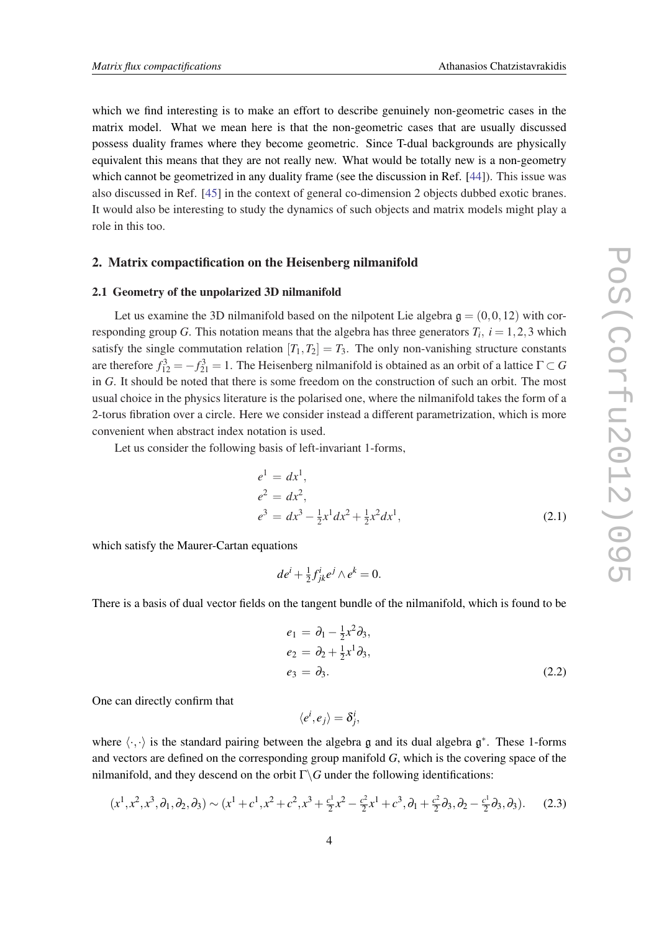<span id="page-3-0"></span>which we find interesting is to make an effort to describe genuinely non-geometric cases in the matrix model. What we mean here is that the non-geometric cases that are usually discussed possess duality frames where they become geometric. Since T-dual backgrounds are physically equivalent this means that they are not really new. What would be totally new is a non-geometry which cannot be geometrized in any duality frame (see the discussion in Ref. [\[44](#page-14-0)]). This issue was also discussed in Ref. [[45](#page-14-0)] in the context of general co-dimension 2 objects dubbed exotic branes. It would also be interesting to study the dynamics of such objects and matrix models might play a role in this too.

#### 2. Matrix compactification on the Heisenberg nilmanifold

## 2.1 Geometry of the unpolarized 3D nilmanifold

Let us examine the 3D nilmanifold based on the nilpotent Lie algebra  $g = (0,0,12)$  with corresponding group *G*. This notation means that the algebra has three generators  $T_i$ ,  $i = 1, 2, 3$  which satisfy the single commutation relation  $[T_1, T_2] = T_3$ . The only non-vanishing structure constants are therefore  $f_{12}^3 = -f_{21}^3 = 1$ . The Heisenberg nilmanifold is obtained as an orbit of a lattice  $\Gamma \subset G$ in *G*. It should be noted that there is some freedom on the construction of such an orbit. The most usual choice in the physics literature is the polarised one, where the nilmanifold takes the form of a 2-torus fibration over a circle. Here we consider instead a different parametrization, which is more convenient when abstract index notation is used.

Let us consider the following basis of left-invariant 1-forms,

$$
e1 = dx1,e2 = dx2,e3 = dx3 - \frac{1}{2}x1 dx2 + \frac{1}{2}x2 dx1,
$$
 (2.1)

which satisfy the Maurer-Cartan equations

$$
de^i + \frac{1}{2}f^i_{jk}e^j \wedge e^k = 0.
$$

There is a basis of dual vector fields on the tangent bundle of the nilmanifold, which is found to be

$$
e_1 = \partial_1 - \frac{1}{2}x^2 \partial_3,
$$
  
\n
$$
e_2 = \partial_2 + \frac{1}{2}x^1 \partial_3,
$$
  
\n
$$
e_3 = \partial_3.
$$
\n(2.2)

One can directly confirm that

$$
\langle e^i, e_j \rangle = \delta^i_j,
$$

where  $\langle \cdot, \cdot \rangle$  is the standard pairing between the algebra g and its dual algebra  $\mathfrak{g}^*$ . These 1-forms and vectors are defined on the corresponding group manifold *G*, which is the covering space of the nilmanifold, and they descend on the orbit  $\Gamma \backslash G$  under the following identifications:

$$
(x^1, x^2, x^3, \partial_1, \partial_2, \partial_3) \sim (x^1 + c^1, x^2 + c^2, x^3 + \frac{c^1}{2}x^2 - \frac{c^2}{2}x^1 + c^3, \partial_1 + \frac{c^2}{2}\partial_3, \partial_2 - \frac{c^1}{2}\partial_3, \partial_3).
$$
 (2.3)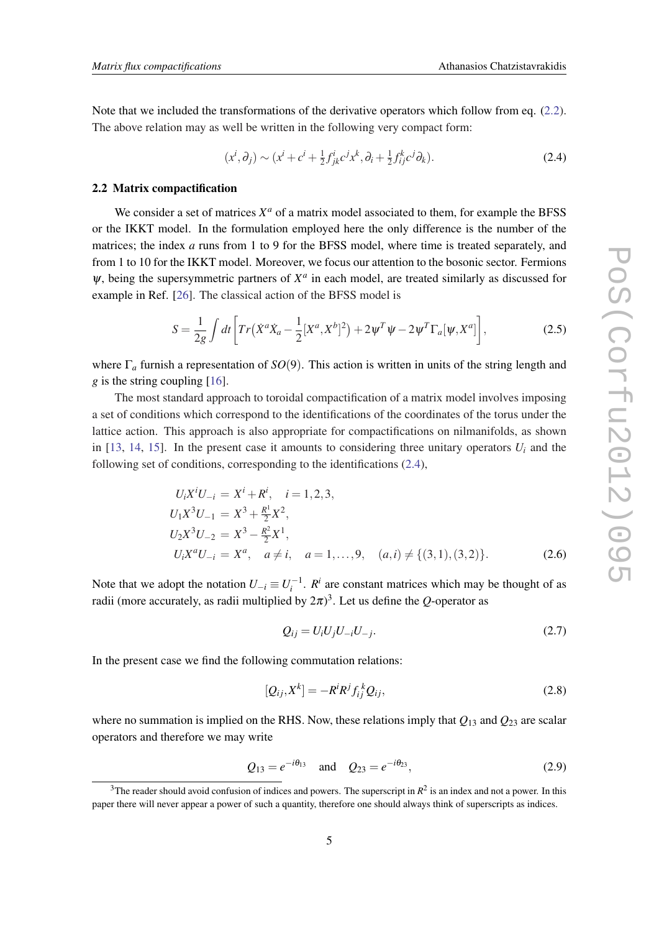<span id="page-4-0"></span>Note that we included the transformations of the derivative operators which follow from eq. ([2.2\)](#page-3-0). The above relation may as well be written in the following very compact form:

$$
(x^i, \partial_j) \sim (x^i + c^i + \frac{1}{2} f^i_{jk} c^j x^k, \partial_i + \frac{1}{2} f^k_{ij} c^j \partial_k).
$$
 (2.4)

### 2.2 Matrix compactification

We consider a set of matrices  $X^a$  of a matrix model associated to them, for example the BFSS or the IKKT model. In the formulation employed here the only difference is the number of the matrices; the index *a* runs from 1 to 9 for the BFSS model, where time is treated separately, and from 1 to 10 for the IKKT model. Moreover, we focus our attention to the bosonic sector. Fermions  $\psi$ , being the supersymmetric partners of  $X^a$  in each model, are treated similarly as discussed for example in Ref. [[26](#page-14-0)]. The classical action of the BFSS model is

$$
S = \frac{1}{2g} \int dt \left[ Tr(\dot{X}^a \dot{X}_a - \frac{1}{2} [X^a, X^b]^2) + 2 \psi^T \psi - 2 \psi^T \Gamma_a [\psi, X^a] \right],
$$
 (2.5)

where Γ*<sup>a</sup>* furnish a representation of *SO*(9). This action is written in units of the string length and *g* is the string coupling [[16\]](#page-13-0).

The most standard approach to toroidal compactification of a matrix model involves imposing a set of conditions which correspond to the identifications of the coordinates of the torus under the lattice action. This approach is also appropriate for compactifications on nilmanifolds, as shown in [\[13](#page-13-0), [14](#page-13-0), [15\]](#page-13-0). In the present case it amounts to considering three unitary operators  $U_i$  and the following set of conditions, corresponding to the identifications (2.4),

$$
U_i X^i U_{-i} = X^i + R^i, \quad i = 1, 2, 3,
$$
  
\n
$$
U_1 X^3 U_{-1} = X^3 + \frac{R^1}{2} X^2,
$$
  
\n
$$
U_2 X^3 U_{-2} = X^3 - \frac{R^2}{2} X^1,
$$
  
\n
$$
U_i X^a U_{-i} = X^a, \quad a \neq i, \quad a = 1, ..., 9, \quad (a, i) \neq \{(3, 1), (3, 2)\}.
$$
 (2.6)

Note that we adopt the notation  $U_{-i} \equiv U_i^{-1}$ .  $R^i$  are constant matrices which may be thought of as radii (more accurately, as radii multiplied by  $2\pi$ )<sup>3</sup>. Let us define the *Q*-operator as

$$
Q_{ij} = U_i U_j U_{-i} U_{-j}.
$$
\n(2.7)

In the present case we find the following commutation relations:

$$
[Q_{ij}, X^k] = -R^i R^j f_{ij}^k Q_{ij}, \qquad (2.8)
$$

where no summation is implied on the RHS. Now, these relations imply that  $Q_{13}$  and  $Q_{23}$  are scalar operators and therefore we may write

$$
Q_{13} = e^{-i\theta_{13}}
$$
 and  $Q_{23} = e^{-i\theta_{23}}$ , (2.9)

 $3$ The reader should avoid confusion of indices and powers. The superscript in  $R^2$  is an index and not a power. In this paper there will never appear a power of such a quantity, therefore one should always think of superscripts as indices.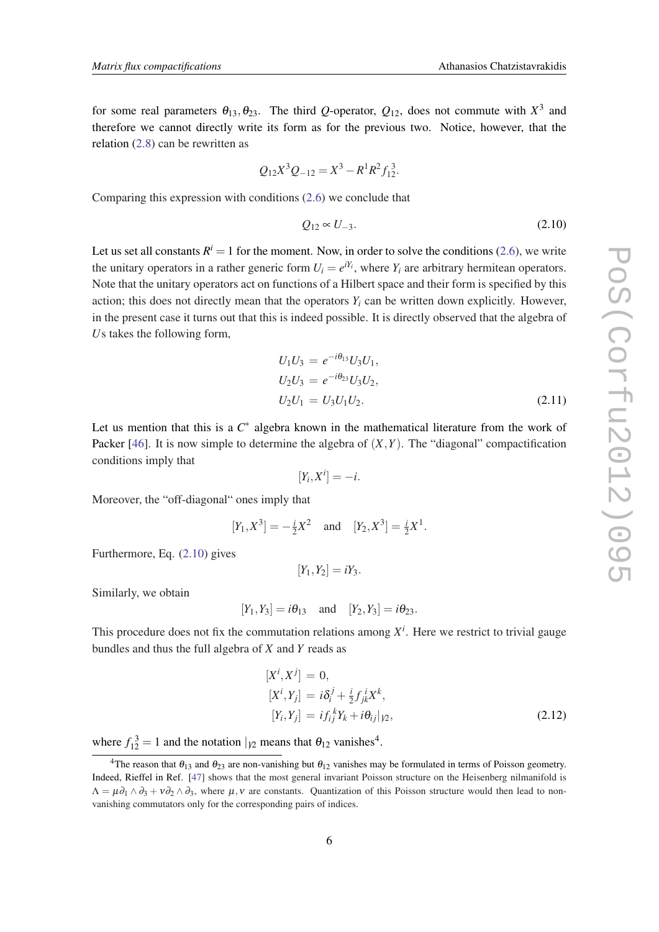for some real parameters  $\theta_{13}, \theta_{23}$ . The third *Q*-operator,  $Q_{12}$ , does not commute with  $X^3$  and therefore we cannot directly write its form as for the previous two. Notice, however, that the relation [\(2.8\)](#page-4-0) can be rewritten as

$$
Q_{12}X^3Q_{-12}=X^3-R^1R^2f_{12}^3.
$$

Comparing this expression with conditions ([2.6](#page-4-0)) we conclude that

$$
Q_{12} \propto U_{-3}.\tag{2.10}
$$

Let us set all constants  $R^i = 1$  for the moment. Now, in order to solve the conditions ([2.6](#page-4-0)), we write the unitary operators in a rather generic form  $U_i = e^{iY_i}$ , where  $Y_i$  are arbitrary hermitean operators. Note that the unitary operators act on functions of a Hilbert space and their form is specified by this action; this does not directly mean that the operators *Y<sup>i</sup>* can be written down explicitly. However, in the present case it turns out that this is indeed possible. It is directly observed that the algebra of *U*s takes the following form,

$$
U_1 U_3 = e^{-i\theta_{13}} U_3 U_1,
$$
  
\n
$$
U_2 U_3 = e^{-i\theta_{23}} U_3 U_2,
$$
  
\n
$$
U_2 U_1 = U_3 U_1 U_2.
$$
\n(2.11)

Let us mention that this is a  $C^*$  algebra known in the mathematical literature from the work of Packer [\[46](#page-14-0)]. It is now simple to determine the algebra of (*X*,*Y*). The "diagonal" compactification conditions imply that

$$
[Y_i, X^i] = -i.
$$

Moreover, the "off-diagonal" ones imply that

$$
[Y_1, X^3] = -\frac{i}{2}X^2
$$
 and  $[Y_2, X^3] = \frac{i}{2}X^1$ .

Furthermore, Eq. (2.10) gives

$$
[Y_1,Y_2]=iY_3.
$$

Similarly, we obtain

$$
[Y_1, Y_3] = i\theta_{13}
$$
 and  $[Y_2, Y_3] = i\theta_{23}$ .

This procedure does not fix the commutation relations among  $X^i$ . Here we restrict to trivial gauge bundles and thus the full algebra of *X* and *Y* reads as

$$
[Xi, Xj] = 0,
$$
  
\n
$$
[Xi, Yj] = i\deltaij + \frac{i}{2} fjki Xk,
$$
  
\n
$$
[Yi, Yj] = i fijk Yk + i \thetaij | \gamma2,
$$
\n(2.12)

where  $f_{12}^3 = 1$  and the notation  $|_{12}$  means that  $\theta_{12}$  vanishes<sup>4</sup>.

<sup>&</sup>lt;sup>4</sup>The reason that  $\theta_{13}$  and  $\theta_{23}$  are non-vanishing but  $\theta_{12}$  vanishes may be formulated in terms of Poisson geometry. Indeed, Rieffel in Ref. [\[47](#page-14-0)] shows that the most general invariant Poisson structure on the Heisenberg nilmanifold is  $\Lambda = \mu \partial_1 \wedge \partial_3 + v \partial_2 \wedge \partial_3$ , where  $\mu, \nu$  are constants. Quantization of this Poisson structure would then lead to nonvanishing commutators only for the corresponding pairs of indices.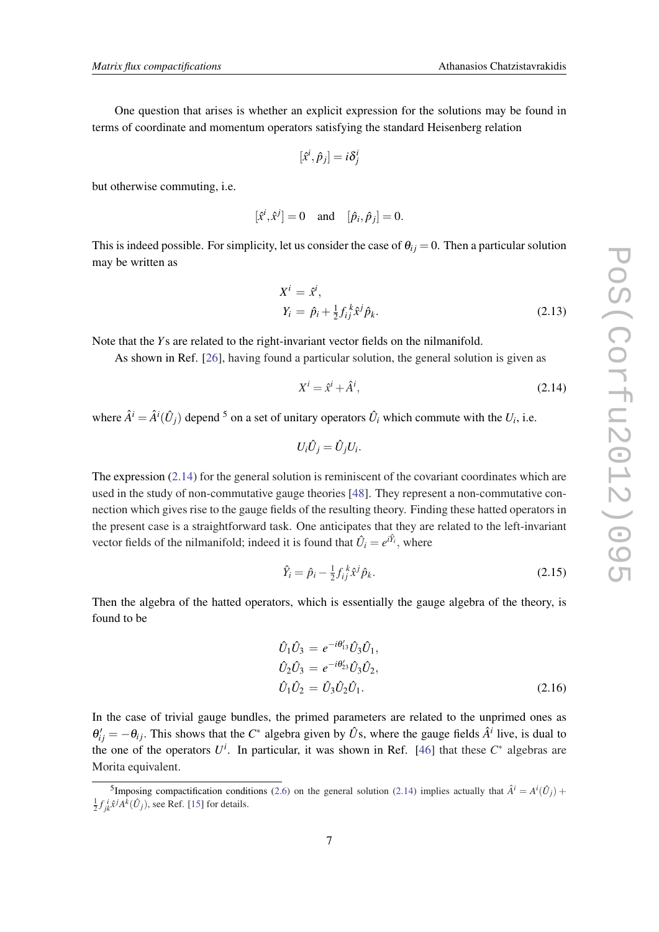<span id="page-6-0"></span>One question that arises is whether an explicit expression for the solutions may be found in terms of coordinate and momentum operators satisfying the standard Heisenberg relation

$$
[\hat{x}^i, \hat{p}_j] = i\delta^i_j
$$

but otherwise commuting, i.e.

$$
[\hat{x}^i, \hat{x}^j] = 0 \quad \text{and} \quad [\hat{p}_i, \hat{p}_j] = 0.
$$

This is indeed possible. For simplicity, let us consider the case of  $\theta_{ij} = 0$ . Then a particular solution may be written as

$$
X^{i} = \hat{x}^{i},
$$
  
\n
$$
Y_{i} = \hat{p}_{i} + \frac{1}{2} f_{ij}^{k} \hat{x}^{j} \hat{p}_{k}.
$$
\n(2.13)

Note that the *Y*s are related to the right-invariant vector fields on the nilmanifold.

As shown in Ref. [\[26](#page-14-0)], having found a particular solution, the general solution is given as

$$
X^i = \hat{x}^i + \hat{A}^i,\tag{2.14}
$$

where  $\hat{A}^i = \hat{A}^i(\hat{U}_j)$  depend <sup>5</sup> on a set of unitary operators  $\hat{U}_i$  which commute with the  $U_i$ , i.e.

$$
U_i\hat{U}_j=\hat{U}_jU_i.
$$

The expression  $(2.14)$  for the general solution is reminiscent of the covariant coordinates which are used in the study of non-commutative gauge theories [\[48](#page-14-0)]. They represent a non-commutative connection which gives rise to the gauge fields of the resulting theory. Finding these hatted operators in the present case is a straightforward task. One anticipates that they are related to the left-invariant vector fields of the nilmanifold; indeed it is found that  $\hat{U}_i = e^{i\hat{Y}_i}$ , where

$$
\hat{Y}_i = \hat{p}_i - \frac{1}{2} f_{ij}^k \hat{x}^j \hat{p}_k. \tag{2.15}
$$

Then the algebra of the hatted operators, which is essentially the gauge algebra of the theory, is found to be

$$
\hat{U}_1 \hat{U}_3 = e^{-i\theta'_{13}} \hat{U}_3 \hat{U}_1,
$$
  
\n
$$
\hat{U}_2 \hat{U}_3 = e^{-i\theta'_{23}} \hat{U}_3 \hat{U}_2,
$$
  
\n
$$
\hat{U}_1 \hat{U}_2 = \hat{U}_3 \hat{U}_2 \hat{U}_1.
$$
\n(2.16)

In the case of trivial gauge bundles, the primed parameters are related to the unprimed ones as  $\theta'_{ij} = -\theta_{ij}$ . This shows that the *C*<sup>\*</sup> algebra given by  $\hat{U}$ s, where the gauge fields  $\hat{A}^i$  live, is dual to the one of the operators  $U^i$ . In particular, it was shown in Ref. [[46\]](#page-14-0) that these  $C^*$  algebras are Morita equivalent.

<sup>&</sup>lt;sup>5</sup>Imposing compactification conditions [\(2.6](#page-4-0)) on the general solution (2.14) implies actually that  $\hat{A}^i = A^i(\hat{U}_j) +$  $\frac{1}{2} f_{jk}^i \hat{x}^j A^k (\hat{U}_j)$ , see Ref. [[15\]](#page-13-0) for details.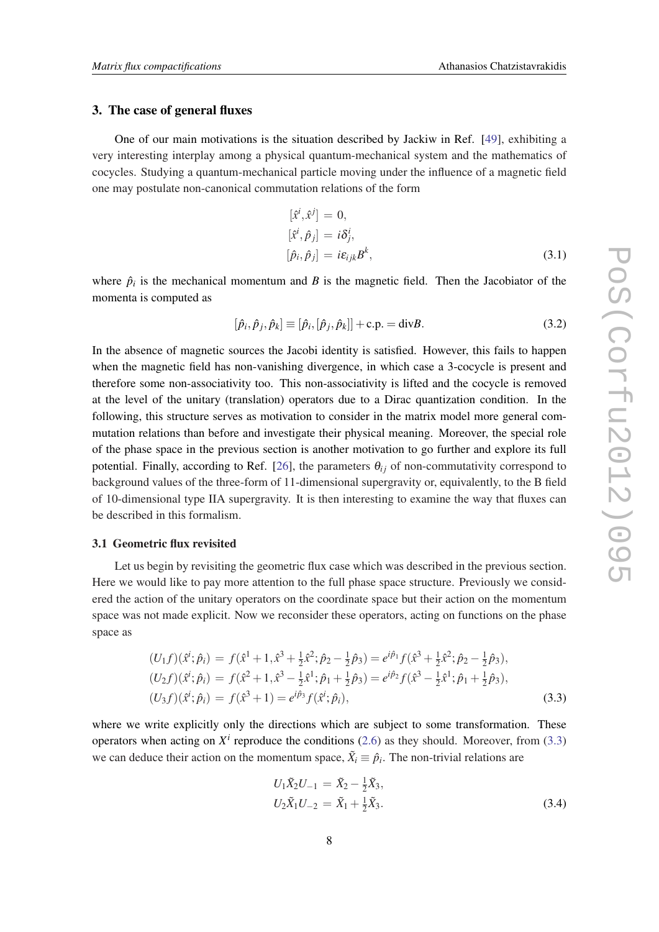## 3. The case of general fluxes

One of our main motivations is the situation described by Jackiw in Ref. [\[49](#page-14-0)], exhibiting a very interesting interplay among a physical quantum-mechanical system and the mathematics of cocycles. Studying a quantum-mechanical particle moving under the influence of a magnetic field one may postulate non-canonical commutation relations of the form

$$
[\hat{x}^i, \hat{x}^j] = 0,
$$
  
\n
$$
[\hat{x}^i, \hat{p}_j] = i\delta^i_j,
$$
  
\n
$$
[\hat{p}_i, \hat{p}_j] = i\varepsilon_{ijk}B^k,
$$
\n(3.1)

where  $\hat{p}_i$  is the mechanical momentum and *B* is the magnetic field. Then the Jacobiator of the momenta is computed as

$$
[\hat{p}_i, \hat{p}_j, \hat{p}_k] \equiv [\hat{p}_i, [\hat{p}_j, \hat{p}_k]] + \text{c.p.} = \text{div}B. \tag{3.2}
$$

In the absence of magnetic sources the Jacobi identity is satisfied. However, this fails to happen when the magnetic field has non-vanishing divergence, in which case a 3-cocycle is present and therefore some non-associativity too. This non-associativity is lifted and the cocycle is removed at the level of the unitary (translation) operators due to a Dirac quantization condition. In the following, this structure serves as motivation to consider in the matrix model more general commutation relations than before and investigate their physical meaning. Moreover, the special role of the phase space in the previous section is another motivation to go further and explore its full potential. Finally, according to Ref. [[26\]](#page-14-0), the parameters  $\theta_{ij}$  of non-commutativity correspond to background values of the three-form of 11-dimensional supergravity or, equivalently, to the B field of 10-dimensional type IIA supergravity. It is then interesting to examine the way that fluxes can be described in this formalism.

### 3.1 Geometric flux revisited

Let us begin by revisiting the geometric flux case which was described in the previous section. Here we would like to pay more attention to the full phase space structure. Previously we considered the action of the unitary operators on the coordinate space but their action on the momentum space was not made explicit. Now we reconsider these operators, acting on functions on the phase space as

$$
(U_1 f)(\hat{x}^i; \hat{p}_i) = f(\hat{x}^1 + 1, \hat{x}^3 + \frac{1}{2}\hat{x}^2; \hat{p}_2 - \frac{1}{2}\hat{p}_3) = e^{i\hat{p}_1} f(\hat{x}^3 + \frac{1}{2}\hat{x}^2; \hat{p}_2 - \frac{1}{2}\hat{p}_3),
$$
  
\n
$$
(U_2 f)(\hat{x}^i; \hat{p}_i) = f(\hat{x}^2 + 1, \hat{x}^3 - \frac{1}{2}\hat{x}^1; \hat{p}_1 + \frac{1}{2}\hat{p}_3) = e^{i\hat{p}_2} f(\hat{x}^3 - \frac{1}{2}\hat{x}^1; \hat{p}_1 + \frac{1}{2}\hat{p}_3),
$$
  
\n
$$
(U_3 f)(\hat{x}^i; \hat{p}_i) = f(\hat{x}^3 + 1) = e^{i\hat{p}_3} f(\hat{x}^i; \hat{p}_i),
$$
  
\n(3.3)

where we write explicitly only the directions which are subject to some transformation. These operators when acting on  $X^i$  reproduce the conditions [\(2.6\)](#page-4-0) as they should. Moreover, from (3.3) we can deduce their action on the momentum space,  $\tilde{X}_i \equiv \hat{p}_i$ . The non-trivial relations are

$$
U_1 \tilde{X}_2 U_{-1} = \tilde{X}_2 - \frac{1}{2} \tilde{X}_3,
$$
  
\n
$$
U_2 \tilde{X}_1 U_{-2} = \tilde{X}_1 + \frac{1}{2} \tilde{X}_3.
$$
\n(3.4)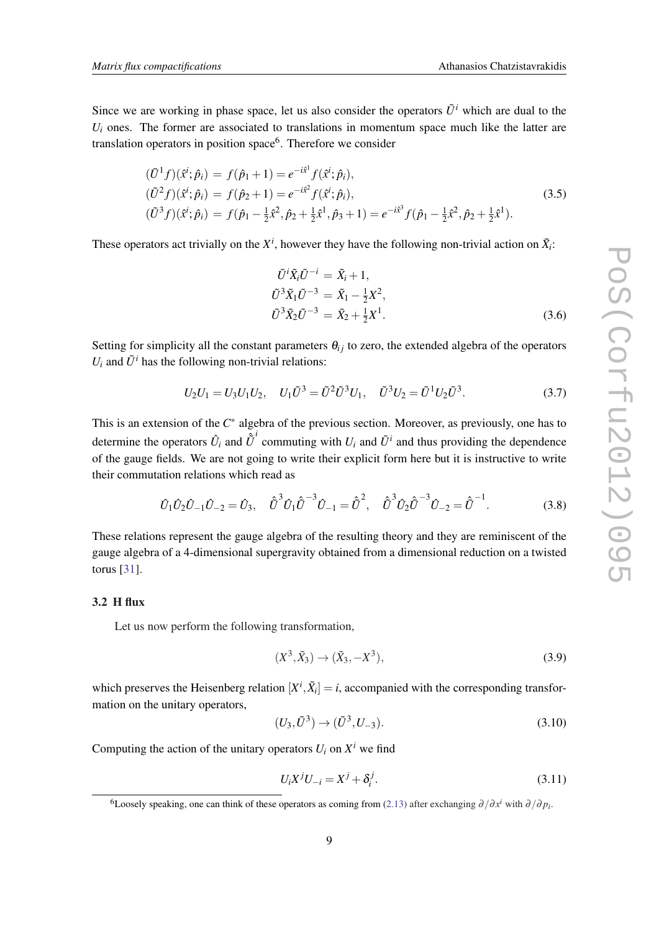<span id="page-8-0"></span>Since we are working in phase space, let us also consider the operators  $\tilde{U}^i$  which are dual to the  $U_i$  ones. The former are associated to translations in momentum space much like the latter are translation operators in position space<sup>6</sup>. Therefore we consider

$$
\begin{aligned}\n(\tilde{U}^1 f)(\hat{x}^i; \hat{p}_i) &= f(\hat{p}_1 + 1) = e^{-i\hat{x}^1} f(\hat{x}^i; \hat{p}_i), \\
(\tilde{U}^2 f)(\hat{x}^i; \hat{p}_i) &= f(\hat{p}_2 + 1) = e^{-i\hat{x}^2} f(\hat{x}^i; \hat{p}_i), \\
(\tilde{U}^3 f)(\hat{x}^i; \hat{p}_i) &= f(\hat{p}_1 - \frac{1}{2}\hat{x}^2, \hat{p}_2 + \frac{1}{2}\hat{x}^1, \hat{p}_3 + 1) = e^{-i\hat{x}^3} f(\hat{p}_1 - \frac{1}{2}\hat{x}^2, \hat{p}_2 + \frac{1}{2}\hat{x}^1).\n\end{aligned}
$$
\n(3.5)

These operators act trivially on the  $X^i$ , however they have the following non-trivial action on  $\tilde{X}_i$ :

$$
\tilde{U}^{i}\tilde{X}_{i}\tilde{U}^{-i} = \tilde{X}_{i} + 1,\n\tilde{U}^{3}\tilde{X}_{1}\tilde{U}^{-3} = \tilde{X}_{1} - \frac{1}{2}X^{2},\n\tilde{U}^{3}\tilde{X}_{2}\tilde{U}^{-3} = \tilde{X}_{2} + \frac{1}{2}X^{1}.
$$
\n(3.6)

Setting for simplicity all the constant parameters  $\theta_{ij}$  to zero, the extended algebra of the operators  $U_i$  and  $\tilde{U}^i$  has the following non-trivial relations:

$$
U_2 U_1 = U_3 U_1 U_2, \quad U_1 \tilde{U}^3 = \tilde{U}^2 \tilde{U}^3 U_1, \quad \tilde{U}^3 U_2 = \tilde{U}^1 U_2 \tilde{U}^3. \tag{3.7}
$$

This is an extension of the  $C^*$  algebra of the previous section. Moreover, as previously, one has to determine the operators  $\hat{U}_i$  and  $\hat{\hat{U}}^i$  commuting with  $U_i$  and  $\tilde{U}^i$  and thus providing the dependence of the gauge fields. We are not going to write their explicit form here but it is instructive to write their commutation relations which read as

$$
\hat{U}_1 \hat{U}_2 \hat{U}_{-1} \hat{U}_{-2} = \hat{U}_3, \quad \hat{\tilde{U}}^3 \hat{U}_1 \hat{\tilde{U}}^{-3} \hat{U}_{-1} = \hat{\tilde{U}}^2, \quad \hat{\tilde{U}}^3 \hat{U}_2 \hat{\tilde{U}}^{-3} \hat{U}_{-2} = \hat{\tilde{U}}^{-1}.
$$
\n(3.8)

These relations represent the gauge algebra of the resulting theory and they are reminiscent of the gauge algebra of a 4-dimensional supergravity obtained from a dimensional reduction on a twisted torus [[31](#page-14-0)].

## 3.2 H flux

Let us now perform the following transformation,

$$
(X^3, \tilde{X}_3) \to (\tilde{X}_3, -X^3), \tag{3.9}
$$

which preserves the Heisenberg relation  $[X^i, \tilde{X}_i] = i$ , accompanied with the corresponding transformation on the unitary operators,

$$
(U_3, \tilde{U}^3) \to (\tilde{U}^3, U_{-3}).
$$
\n(3.10)

Computing the action of the unitary operators  $U_i$  on  $X^i$  we find

$$
U_i X^j U_{-i} = X^j + \delta_i^j.
$$
 (3.11)

<sup>&</sup>lt;sup>6</sup>Loosely speaking, one can think of these operators as coming from [\(2.13\)](#page-6-0) after exchanging  $\partial/\partial x^i$  with  $\partial/\partial p_i$ .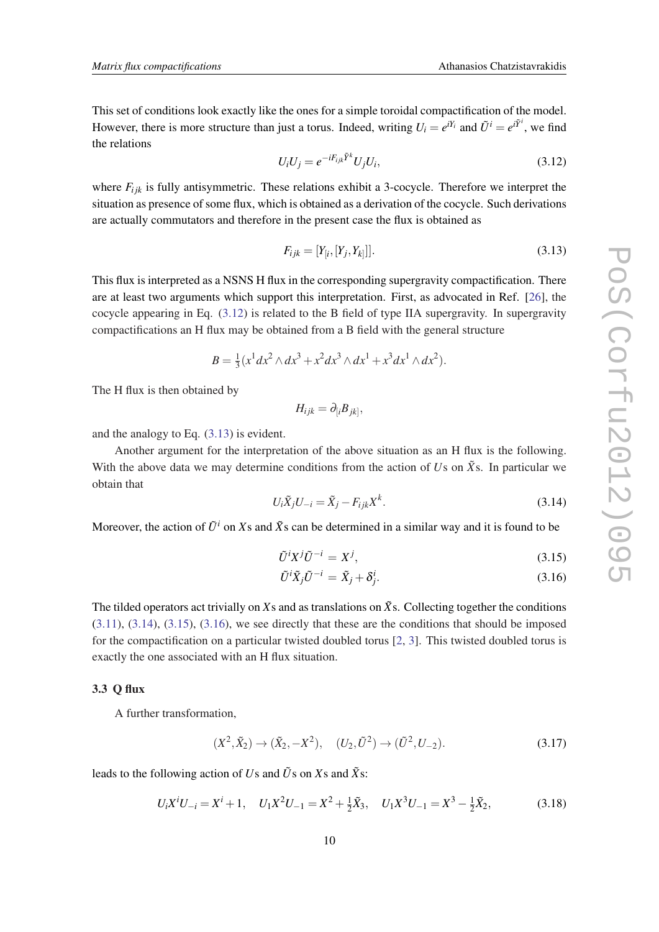This set of conditions look exactly like the ones for a simple toroidal compactification of the model. However, there is more structure than just a torus. Indeed, writing  $U_i = e^{iY_i}$  and  $\tilde{U}^i = e^{i\tilde{Y}^i}$ , we find the relations

$$
U_i U_j = e^{-iF_{ijk}\tilde{Y}^k} U_j U_i,
$$
\n(3.12)

where  $F_{ijk}$  is fully antisymmetric. These relations exhibit a 3-cocycle. Therefore we interpret the situation as presence of some flux, which is obtained as a derivation of the cocycle. Such derivations are actually commutators and therefore in the present case the flux is obtained as

$$
F_{ijk} = [Y_{[i}, [Y_j, Y_{k}]]].
$$
\n(3.13)

This flux is interpreted as a NSNS H flux in the corresponding supergravity compactification. There are at least two arguments which support this interpretation. First, as advocated in Ref. [[26\]](#page-14-0), the cocycle appearing in Eq. (3.12) is related to the B field of type IIA supergravity. In supergravity compactifications an H flux may be obtained from a B field with the general structure

$$
B = \frac{1}{3}(x^{1}dx^{2} \wedge dx^{3} + x^{2}dx^{3} \wedge dx^{1} + x^{3}dx^{1} \wedge dx^{2}).
$$

The H flux is then obtained by

$$
H_{ijk}=\partial_{[i}B_{jk]},
$$

and the analogy to Eq. (3.13) is evident.

Another argument for the interpretation of the above situation as an H flux is the following. With the above data we may determine conditions from the action of  $U_s$  on  $\tilde{X}_s$ . In particular we obtain that

$$
U_i \tilde{X}_j U_{-i} = \tilde{X}_j - F_{ijk} X^k. \tag{3.14}
$$

Moreover, the action of  $\tilde{U}^i$  on Xs and  $\tilde{X}$ s can be determined in a similar way and it is found to be

$$
\tilde{U}^i X^j \tilde{U}^{-i} = X^j,\tag{3.15}
$$

$$
\tilde{U}^i \tilde{X}_j \tilde{U}^{-i} = \tilde{X}_j + \delta^i_j. \tag{3.16}
$$

The tilded operators act trivially on *X*s and as translations on  $\tilde{X}$ s. Collecting together the conditions ([3.11](#page-8-0)), (3.14), (3.15), (3.16), we see directly that these are the conditions that should be imposed for the compactification on a particular twisted doubled torus [\[2,](#page-13-0) [3\]](#page-13-0). This twisted doubled torus is exactly the one associated with an H flux situation.

## 3.3 Q flux

A further transformation,

$$
(X^2, \tilde{X}_2) \to (\tilde{X}_2, -X^2), \quad (U_2, \tilde{U}^2) \to (\tilde{U}^2, U_{-2}).
$$
\n(3.17)

leads to the following action of *U*s and  $\tilde{U}$ s on *X*s and  $\tilde{X}$ s:

$$
U_i X^i U_{-i} = X^i + 1, \quad U_1 X^2 U_{-1} = X^2 + \frac{1}{2} \tilde{X}_3, \quad U_1 X^3 U_{-1} = X^3 - \frac{1}{2} \tilde{X}_2,\tag{3.18}
$$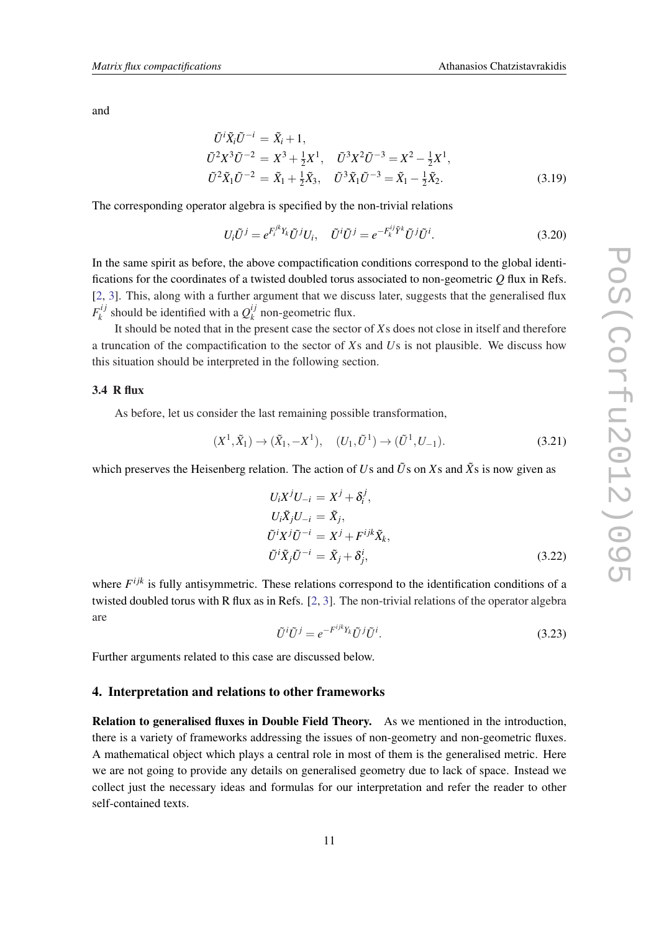and

$$
\begin{aligned}\n\tilde{U}^i \tilde{X}_i \tilde{U}^{-i} &= \tilde{X}_i + 1, \\
\tilde{U}^2 X^3 \tilde{U}^{-2} &= X^3 + \frac{1}{2} X^1, \\
\tilde{U}^3 X^2 \tilde{U}^{-3} &= X^2 - \frac{1}{2} X^1, \\
\tilde{U}^2 \tilde{X}_1 \tilde{U}^{-2} &= \tilde{X}_1 + \frac{1}{2} \tilde{X}_3, \\
\tilde{U}^3 \tilde{X}_1 \tilde{U}^{-3} &= \tilde{X}_1 - \frac{1}{2} \tilde{X}_2.\n\end{aligned} \tag{3.19}
$$

The corresponding operator algebra is specified by the non-trivial relations

$$
U_i \tilde{U}^j = e^{F_i^{jk} Y_k} \tilde{U}^j U_i, \quad \tilde{U}^i \tilde{U}^j = e^{-F_k^{ij} \tilde{Y}^k} \tilde{U}^j \tilde{U}^i.
$$
\n(3.20)

In the same spirit as before, the above compactification conditions correspond to the global identifications for the coordinates of a twisted doubled torus associated to non-geometric *Q* flux in Refs. [[2](#page-13-0), [3\]](#page-13-0). This, along with a further argument that we discuss later, suggests that the generalised flux  $F_{\iota}^{ij}$  $g_k^{i,j}$  should be identified with a  $Q_k^{ij}$  $\frac{y}{k}$  non-geometric flux.

It should be noted that in the present case the sector of *X*s does not close in itself and therefore a truncation of the compactification to the sector of *X*s and *U*s is not plausible. We discuss how this situation should be interpreted in the following section.

### 3.4 R flux

As before, let us consider the last remaining possible transformation,

$$
(X^1, \tilde{X}_1) \to (\tilde{X}_1, -X^1), \quad (U_1, \tilde{U}^1) \to (\tilde{U}^1, U_{-1}).
$$
\n(3.21)

which preserves the Heisenberg relation. The action of *Us* and  $\tilde{U}$ s on *Xs* and  $\tilde{X}$ s is now given as

$$
U_i X^j U_{-i} = X^j + \delta_i^j,
$$
  
\n
$$
U_i \tilde{X}_j U_{-i} = \tilde{X}_j,
$$
  
\n
$$
\tilde{U}^i X^j \tilde{U}^{-i} = X^j + F^{ijk} \tilde{X}_k,
$$
  
\n
$$
\tilde{U}^i \tilde{X}_j \tilde{U}^{-i} = \tilde{X}_j + \delta_j^i,
$$
\n(3.22)

where  $F^{ijk}$  is fully antisymmetric. These relations correspond to the identification conditions of a twisted doubled torus with R flux as in Refs. [\[2,](#page-13-0) [3](#page-13-0)]. The non-trivial relations of the operator algebra are

$$
\tilde{U}^i \tilde{U}^j = e^{-F^{ijk}Y_k} \tilde{U}^j \tilde{U}^i.
$$
\n(3.23)

Further arguments related to this case are discussed below.

## 4. Interpretation and relations to other frameworks

Relation to generalised fluxes in Double Field Theory. As we mentioned in the introduction, there is a variety of frameworks addressing the issues of non-geometry and non-geometric fluxes. A mathematical object which plays a central role in most of them is the generalised metric. Here we are not going to provide any details on generalised geometry due to lack of space. Instead we collect just the necessary ideas and formulas for our interpretation and refer the reader to other self-contained texts.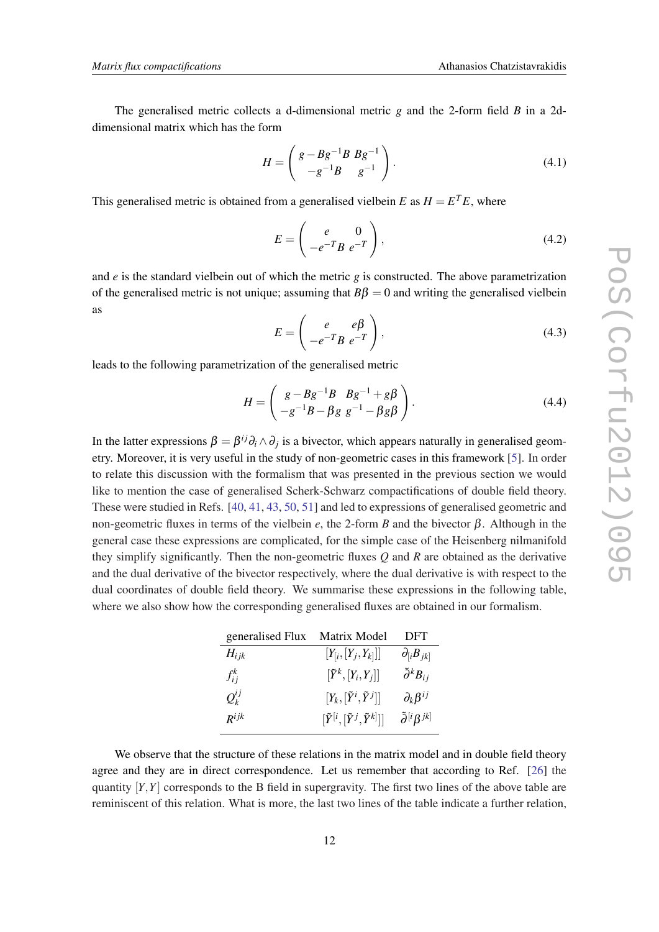<span id="page-11-0"></span>The generalised metric collects a d-dimensional metric *g* and the 2-form field *B* in a 2ddimensional matrix which has the form

$$
H = \begin{pmatrix} g - Bg^{-1}B & Bg^{-1} \\ -g^{-1}B & g^{-1} \end{pmatrix}.
$$
 (4.1)

This generalised metric is obtained from a generalised vielbein  $E$  as  $H = E^{T}E$ , where

$$
E = \begin{pmatrix} e & 0 \\ -e^{-T}B & e^{-T} \end{pmatrix},\tag{4.2}
$$

and *e* is the standard vielbein out of which the metric *g* is constructed. The above parametrization of the generalised metric is not unique; assuming that  $B\beta = 0$  and writing the generalised vielbein as

$$
E = \begin{pmatrix} e & e\beta \\ -e^{-T}B & e^{-T} \end{pmatrix},
$$
\n(4.3)

leads to the following parametrization of the generalised metric

$$
H = \begin{pmatrix} g - Bg^{-1}B & Bg^{-1} + g\beta \\ -g^{-1}B - \beta g & g^{-1} - \beta g\beta \end{pmatrix}.
$$
 (4.4)

In the latter expressions  $\beta = \beta^{ij}\partial_i \wedge \partial_j$  is a bivector, which appears naturally in generalised geometry. Moreover, it is very useful in the study of non-geometric cases in this framework [\[5\]](#page-13-0). In order to relate this discussion with the formalism that was presented in the previous section we would like to mention the case of generalised Scherk-Schwarz compactifications of double field theory. These were studied in Refs. [\[40](#page-14-0), [41](#page-14-0), [43,](#page-14-0) [50,](#page-14-0) [51\]](#page-14-0) and led to expressions of generalised geometric and non-geometric fluxes in terms of the vielbein *e*, the 2-form *B* and the bivector β. Although in the general case these expressions are complicated, for the simple case of the Heisenberg nilmanifold they simplify significantly. Then the non-geometric fluxes *Q* and *R* are obtained as the derivative and the dual derivative of the bivector respectively, where the dual derivative is with respect to the dual coordinates of double field theory. We summarise these expressions in the following table, where we also show how the corresponding generalised fluxes are obtained in our formalism.

| generalised Flux | Matrix Model                                      | DFT                                |
|------------------|---------------------------------------------------|------------------------------------|
| $H_{ijk}$        | $[Y_{[i}, [Y_{j}, Y_{k}]]]$                       | $\partial_{[i}B_{ik]}$             |
| $f_{ii}^k$       | $[\tilde{Y}^k,[Y_i,Y_j]]$                         | $\tilde{\partial}^k B_{ij}$        |
| $Q_{\nu}^{ij}$   | $[Y_k,[\tilde{Y}^i,\tilde{Y}^j]]$                 | $\partial_k \beta^{ij}$            |
| $R^{ijk}$        | $[\tilde{Y}^{[i},[\tilde{Y}^{j},\tilde{Y}^{k}]]]$ | $\tilde{\partial}^{[i}\beta^{jk]}$ |

We observe that the structure of these relations in the matrix model and in double field theory agree and they are in direct correspondence. Let us remember that according to Ref. [\[26\]](#page-14-0) the quantity  $[Y, Y]$  corresponds to the B field in supergravity. The first two lines of the above table are reminiscent of this relation. What is more, the last two lines of the table indicate a further relation,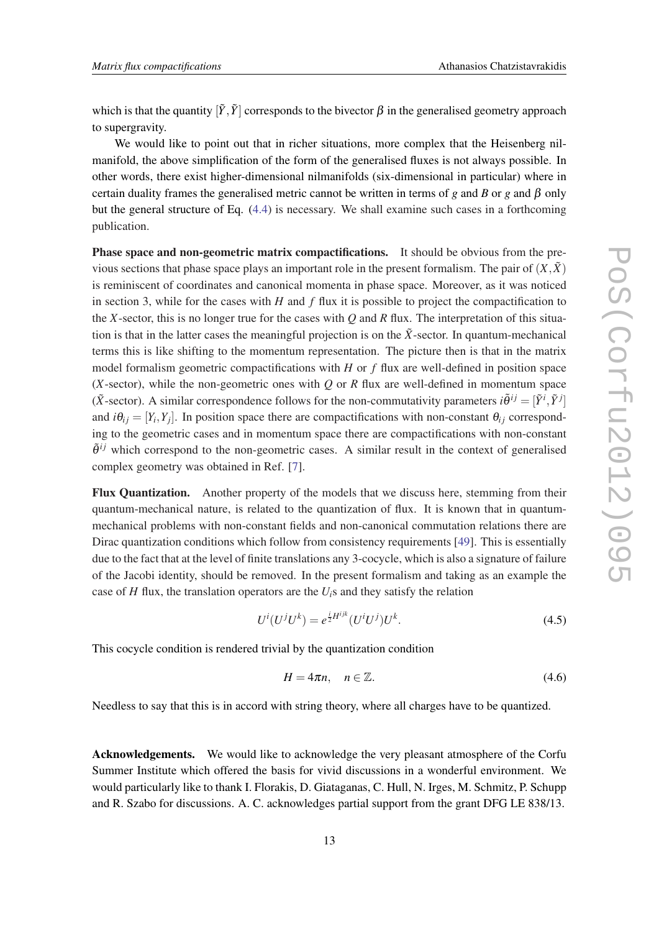which is that the quantity  $[\tilde{Y}, \tilde{Y}]$  corresponds to the bivector  $\beta$  in the generalised geometry approach to supergravity.

We would like to point out that in richer situations, more complex that the Heisenberg nilmanifold, the above simplification of the form of the generalised fluxes is not always possible. In other words, there exist higher-dimensional nilmanifolds (six-dimensional in particular) where in certain duality frames the generalised metric cannot be written in terms of *g* and *B* or *g* and  $\beta$  only but the general structure of Eq. [\(4.4](#page-11-0)) is necessary. We shall examine such cases in a forthcoming publication.

Phase space and non-geometric matrix compactifications. It should be obvious from the previous sections that phase space plays an important role in the present formalism. The pair of  $(X,\tilde{X})$ is reminiscent of coordinates and canonical momenta in phase space. Moreover, as it was noticed in section 3, while for the cases with  $H$  and  $f$  flux it is possible to project the compactification to the *X*-sector, this is no longer true for the cases with *Q* and *R* flux. The interpretation of this situation is that in the latter cases the meaningful projection is on the  $\tilde{X}$ -sector. In quantum-mechanical terms this is like shifting to the momentum representation. The picture then is that in the matrix model formalism geometric compactifications with *H* or *f* flux are well-defined in position space (*X*-sector), while the non-geometric ones with *Q* or *R* flux are well-defined in momentum space ( $\tilde{X}$ -sector). A similar correspondence follows for the non-commutativity parameters  $i\tilde{\theta}^{ij} = [\tilde{Y}^i, \tilde{Y}^j]$ and  $i\theta_{ij} = [Y_i, Y_j]$ . In position space there are compactifications with non-constant  $\theta_{ij}$  corresponding to the geometric cases and in momentum space there are compactifications with non-constant  $\tilde{\theta}^{ij}$  which correspond to the non-geometric cases. A similar result in the context of generalised complex geometry was obtained in Ref. [[7](#page-13-0)].

Flux Quantization. Another property of the models that we discuss here, stemming from their quantum-mechanical nature, is related to the quantization of flux. It is known that in quantummechanical problems with non-constant fields and non-canonical commutation relations there are Dirac quantization conditions which follow from consistency requirements [[49\]](#page-14-0). This is essentially due to the fact that at the level of finite translations any 3-cocycle, which is also a signature of failure of the Jacobi identity, should be removed. In the present formalism and taking as an example the case of  $H$  flux, the translation operators are the  $U_i$ s and they satisfy the relation

$$
U^{i}(U^{j}U^{k}) = e^{\frac{i}{2}H^{ijk}}(U^{i}U^{j})U^{k}.
$$
\n(4.5)

This cocycle condition is rendered trivial by the quantization condition

$$
H = 4\pi n, \quad n \in \mathbb{Z}.\tag{4.6}
$$

Needless to say that this is in accord with string theory, where all charges have to be quantized.

Acknowledgements. We would like to acknowledge the very pleasant atmosphere of the Corfu Summer Institute which offered the basis for vivid discussions in a wonderful environment. We would particularly like to thank I. Florakis, D. Giataganas, C. Hull, N. Irges, M. Schmitz, P. Schupp and R. Szabo for discussions. A. C. acknowledges partial support from the grant DFG LE 838/13.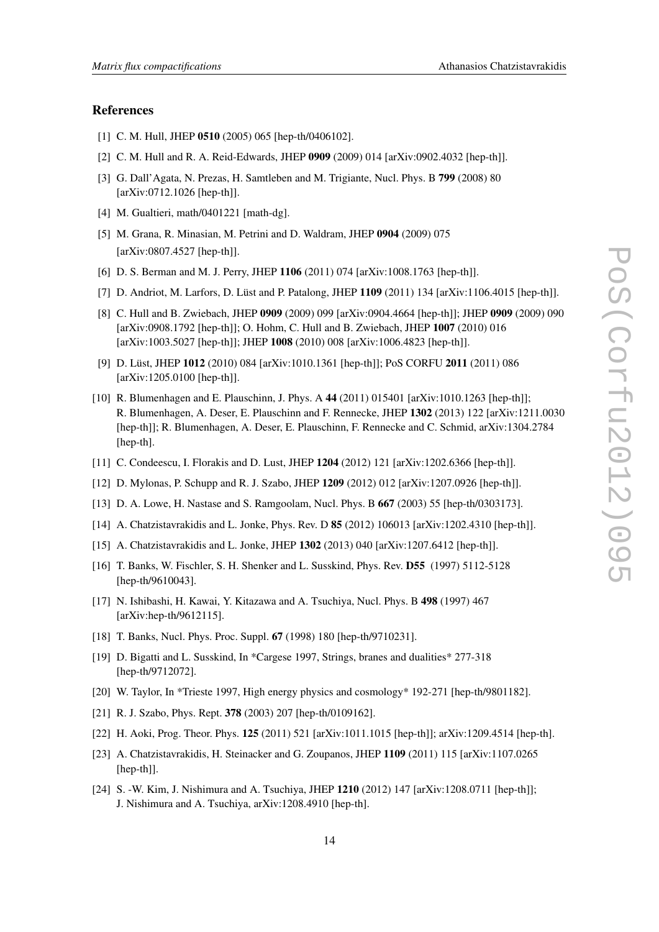### <span id="page-13-0"></span>References

- [1] C. M. Hull, JHEP 0510 (2005) 065 [hep-th/0406102].
- [2] C. M. Hull and R. A. Reid-Edwards, JHEP 0909 (2009) 014 [arXiv:0902.4032 [hep-th]].
- [3] G. Dall'Agata, N. Prezas, H. Samtleben and M. Trigiante, Nucl. Phys. B 799 (2008) 80 [arXiv:0712.1026 [hep-th]].
- [4] M. Gualtieri, math/0401221 [math-dg].
- [5] M. Grana, R. Minasian, M. Petrini and D. Waldram, JHEP 0904 (2009) 075 [arXiv:0807.4527 [hep-th]].
- [6] D. S. Berman and M. J. Perry, JHEP 1106 (2011) 074 [arXiv:1008.1763 [hep-th]].
- [7] D. Andriot, M. Larfors, D. Lüst and P. Patalong, JHEP 1109 (2011) 134 [arXiv:1106.4015 [hep-th]].
- [8] C. Hull and B. Zwiebach, JHEP 0909 (2009) 099 [arXiv:0904.4664 [hep-th]]; JHEP 0909 (2009) 090 [arXiv:0908.1792 [hep-th]]; O. Hohm, C. Hull and B. Zwiebach, JHEP 1007 (2010) 016 [arXiv:1003.5027 [hep-th]]; JHEP 1008 (2010) 008 [arXiv:1006.4823 [hep-th]].
- [9] D. Lüst, JHEP 1012 (2010) 084 [arXiv:1010.1361 [hep-th]]; PoS CORFU 2011 (2011) 086 [arXiv:1205.0100 [hep-th]].
- [10] R. Blumenhagen and E. Plauschinn, J. Phys. A 44 (2011) 015401 [arXiv:1010.1263 [hep-th]]; R. Blumenhagen, A. Deser, E. Plauschinn and F. Rennecke, JHEP 1302 (2013) 122 [arXiv:1211.0030 [hep-th]]; R. Blumenhagen, A. Deser, E. Plauschinn, F. Rennecke and C. Schmid, arXiv:1304.2784 [hep-th].
- [11] C. Condeescu, I. Florakis and D. Lust, JHEP 1204 (2012) 121 [arXiv:1202.6366 [hep-th]].
- [12] D. Mylonas, P. Schupp and R. J. Szabo, JHEP 1209 (2012) 012 [arXiv:1207.0926 [hep-th]].
- [13] D. A. Lowe, H. Nastase and S. Ramgoolam, Nucl. Phys. B 667 (2003) 55 [hep-th/0303173].
- [14] A. Chatzistavrakidis and L. Jonke, Phys. Rev. D 85 (2012) 106013 [arXiv:1202.4310 [hep-th]].
- [15] A. Chatzistavrakidis and L. Jonke, JHEP 1302 (2013) 040 [arXiv:1207.6412 [hep-th]].
- [16] T. Banks, W. Fischler, S. H. Shenker and L. Susskind, Phys. Rev. D55 (1997) 5112-5128 [hep-th/9610043].
- [17] N. Ishibashi, H. Kawai, Y. Kitazawa and A. Tsuchiya, Nucl. Phys. B 498 (1997) 467 [arXiv:hep-th/9612115].
- [18] T. Banks, Nucl. Phys. Proc. Suppl. 67 (1998) 180 [hep-th/9710231].
- [19] D. Bigatti and L. Susskind, In \*Cargese 1997, Strings, branes and dualities\* 277-318 [hep-th/9712072].
- [20] W. Taylor, In \*Trieste 1997, High energy physics and cosmology\* 192-271 [hep-th/9801182].
- [21] R. J. Szabo, Phys. Rept. 378 (2003) 207 [hep-th/0109162].
- [22] H. Aoki, Prog. Theor. Phys. 125 (2011) 521 [arXiv:1011.1015 [hep-th]]; arXiv:1209.4514 [hep-th].
- [23] A. Chatzistavrakidis, H. Steinacker and G. Zoupanos, JHEP 1109 (2011) 115 [arXiv:1107.0265 [hep-th]].
- [24] S. -W. Kim, J. Nishimura and A. Tsuchiya, JHEP 1210 (2012) 147 [arXiv:1208.0711 [hep-th]]; J. Nishimura and A. Tsuchiya, arXiv:1208.4910 [hep-th].